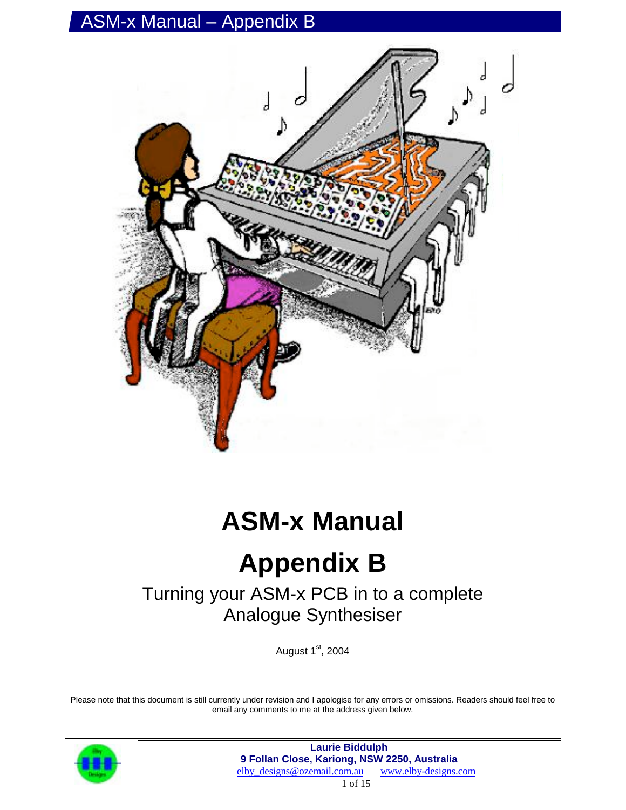

# **ASM-x Manual**

# **Appendix B**

### Turning your ASM-x PCB in to a complete Analogue Synthesiser

August  $1<sup>st</sup>$ , 2004

Please note that this document is still currently under revision and I apologise for any errors or omissions. Readers should feel free to email any comments to me at the address given below.

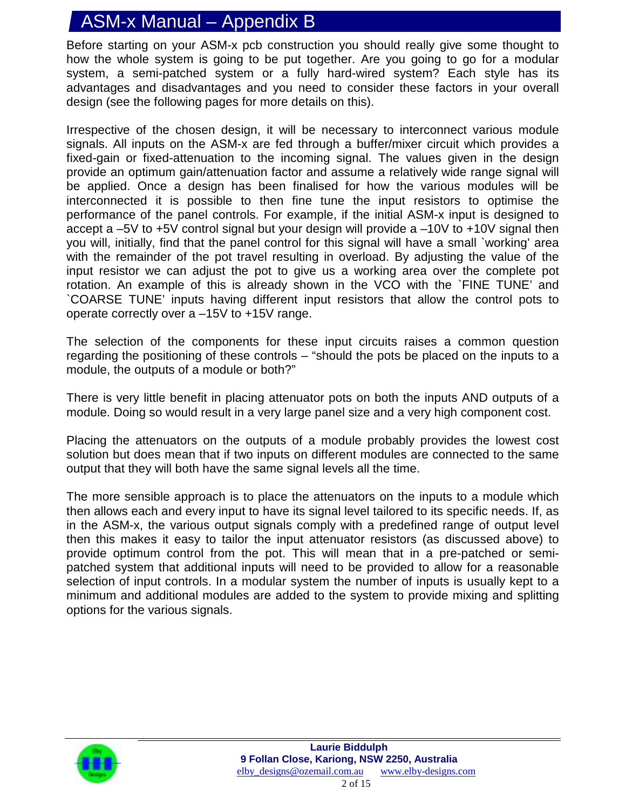Before starting on your ASM-x pcb construction you should really give some thought to how the whole system is going to be put together. Are you going to go for a modular system, a semi-patched system or a fully hard-wired system? Each style has its advantages and disadvantages and you need to consider these factors in your overall design (see the following pages for more details on this).

Irrespective of the chosen design, it will be necessary to interconnect various module signals. All inputs on the ASM-x are fed through a buffer/mixer circuit which provides a fixed-gain or fixed-attenuation to the incoming signal. The values given in the design provide an optimum gain/attenuation factor and assume a relatively wide range signal will be applied. Once a design has been finalised for how the various modules will be interconnected it is possible to then fine tune the input resistors to optimise the performance of the panel controls. For example, if the initial ASM-x input is designed to accept a –5V to +5V control signal but your design will provide a –10V to +10V signal then you will, initially, find that the panel control for this signal will have a small `working' area with the remainder of the pot travel resulting in overload. By adjusting the value of the input resistor we can adjust the pot to give us a working area over the complete pot rotation. An example of this is already shown in the VCO with the `FINE TUNE' and `COARSE TUNE' inputs having different input resistors that allow the control pots to operate correctly over a –15V to +15V range.

The selection of the components for these input circuits raises a common question regarding the positioning of these controls – "should the pots be placed on the inputs to a module, the outputs of a module or both?"

There is very little benefit in placing attenuator pots on both the inputs AND outputs of a module. Doing so would result in a very large panel size and a very high component cost.

Placing the attenuators on the outputs of a module probably provides the lowest cost solution but does mean that if two inputs on different modules are connected to the same output that they will both have the same signal levels all the time.

The more sensible approach is to place the attenuators on the inputs to a module which then allows each and every input to have its signal level tailored to its specific needs. If, as in the ASM-x, the various output signals comply with a predefined range of output level then this makes it easy to tailor the input attenuator resistors (as discussed above) to provide optimum control from the pot. This will mean that in a pre-patched or semipatched system that additional inputs will need to be provided to allow for a reasonable selection of input controls. In a modular system the number of inputs is usually kept to a minimum and additional modules are added to the system to provide mixing and splitting options for the various signals.

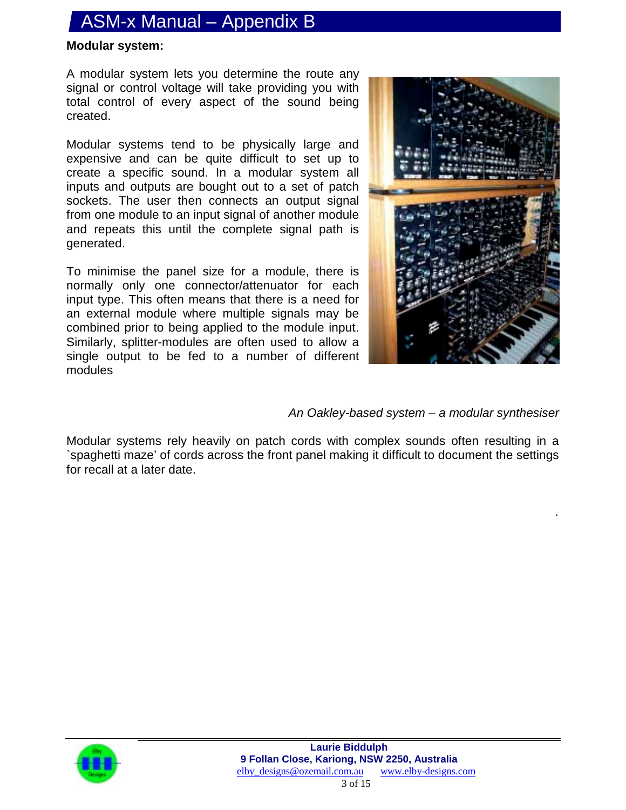#### **Modular system:**

A modular system lets you determine the route any signal or control voltage will take providing you with total control of every aspect of the sound being created.

Modular systems tend to be physically large and expensive and can be quite difficult to set up to create a specific sound. In a modular system all inputs and outputs are bought out to a set of patch sockets. The user then connects an output signal from one module to an input signal of another module and repeats this until the complete signal path is generated.

To minimise the panel size for a module, there is normally only one connector/attenuator for each input type. This often means that there is a need for an external module where multiple signals may be combined prior to being applied to the module input. Similarly, splitter-modules are often used to allow a single output to be fed to a number of different modules



*.*

*An Oakley-based system – a modular synthesiser*

Modular systems rely heavily on patch cords with complex sounds often resulting in a `spaghetti maze' of cords across the front panel making it difficult to document the settings for recall at a later date.

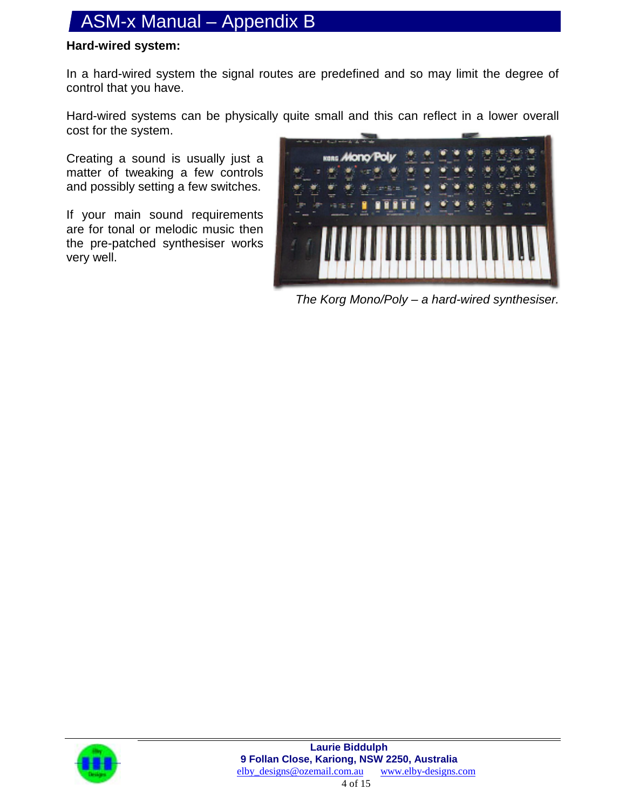#### **Hard-wired system:**

In a hard-wired system the signal routes are predefined and so may limit the degree of control that you have.

Hard-wired systems can be physically quite small and this can reflect in a lower overall cost for the system.

Creating a sound is usually just a matter of tweaking a few controls and possibly setting a few switches.

If your main sound requirements are for tonal or melodic music then the pre-patched synthesiser works very well.



*The Korg Mono/Poly – a hard-wired synthesiser.*

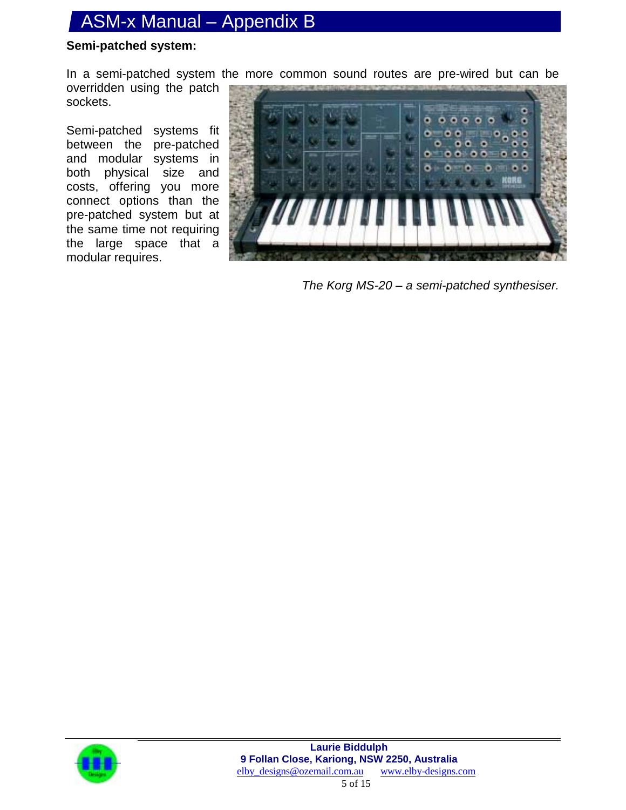#### **Semi-patched system:**

In a semi-patched system the more common sound routes are pre-wired but can be overridden using the patch sockets.

Semi-patched systems fit between the pre-patched and modular systems in both physical size and costs, offering you more connect options than the pre-patched system but at the same time not requiring the large space that a modular requires.



*The Korg MS-20 – a semi-patched synthesiser.*

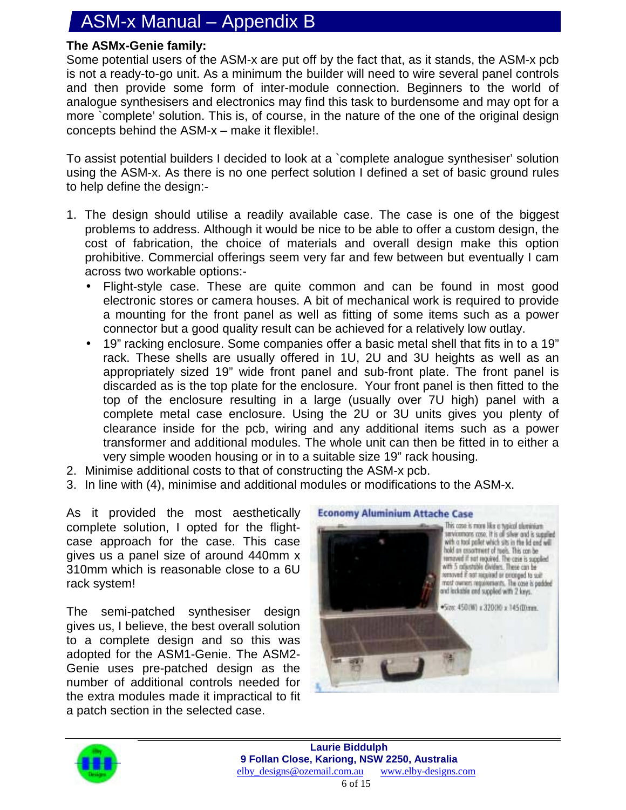#### **The ASMx-Genie family:**

Some potential users of the ASM-x are put off by the fact that, as it stands, the ASM-x pcb is not a ready-to-go unit. As a minimum the builder will need to wire several panel controls and then provide some form of inter-module connection. Beginners to the world of analogue synthesisers and electronics may find this task to burdensome and may opt for a more `complete' solution. This is, of course, in the nature of the one of the original design concepts behind the ASM-x – make it flexible!.

To assist potential builders I decided to look at a `complete analogue synthesiser' solution using the ASM-x. As there is no one perfect solution I defined a set of basic ground rules to help define the design:-

- 1. The design should utilise a readily available case. The case is one of the biggest problems to address. Although it would be nice to be able to offer a custom design, the cost of fabrication, the choice of materials and overall design make this option prohibitive. Commercial offerings seem very far and few between but eventually I cam across two workable options:-
	- Flight-style case. These are quite common and can be found in most good electronic stores or camera houses. A bit of mechanical work is required to provide a mounting for the front panel as well as fitting of some items such as a power connector but a good quality result can be achieved for a relatively low outlay.
	- 19" racking enclosure. Some companies offer a basic metal shell that fits in to a 19" rack. These shells are usually offered in 1U, 2U and 3U heights as well as an appropriately sized 19" wide front panel and sub-front plate. The front panel is discarded as is the top plate for the enclosure. Your front panel is then fitted to the top of the enclosure resulting in a large (usually over 7U high) panel with a complete metal case enclosure. Using the 2U or 3U units gives you plenty of clearance inside for the pcb, wiring and any additional items such as a power transformer and additional modules. The whole unit can then be fitted in to either a very simple wooden housing or in to a suitable size 19" rack housing.
- 2. Minimise additional costs to that of constructing the ASM-x pcb.
- 3. In line with (4), minimise and additional modules or modifications to the ASM-x.

As it provided the most aesthetically complete solution, I opted for the flightcase approach for the case. This case gives us a panel size of around 440mm x 310mm which is reasonable close to a 6U rack system!

The semi-patched synthesiser design gives us, I believe, the best overall solution to a complete design and so this was adopted for the ASM1-Genie. The ASM2- Genie uses pre-patched design as the number of additional controls needed for the extra modules made it impractical to fit a patch section in the selected case.



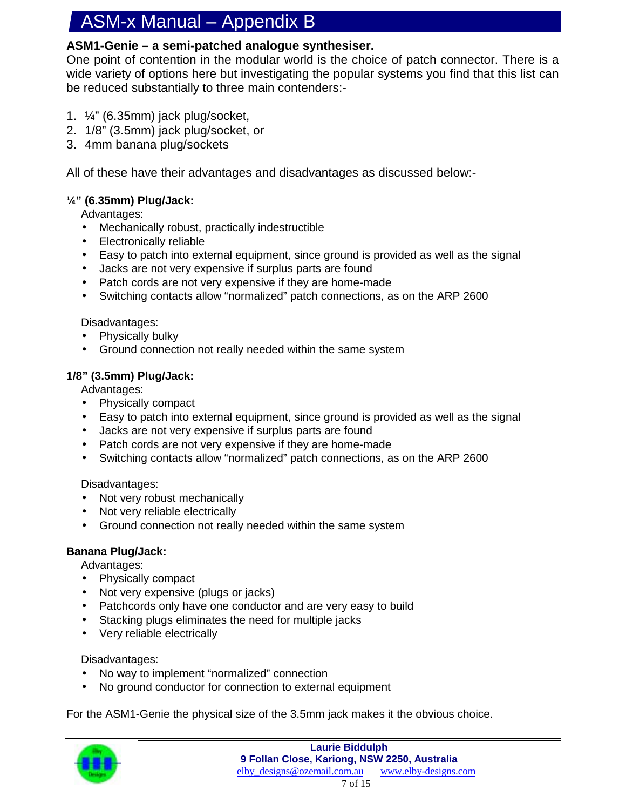#### **ASM1-Genie – a semi-patched analogue synthesiser.**

One point of contention in the modular world is the choice of patch connector. There is a wide variety of options here but investigating the popular systems you find that this list can be reduced substantially to three main contenders:-

- 1.  $\frac{1}{4}$ " (6.35mm) jack plug/socket,
- 2. 1/8" (3.5mm) jack plug/socket, or
- 3. 4mm banana plug/sockets

All of these have their advantages and disadvantages as discussed below:-

#### **¼" (6.35mm) Plug/Jack:**

Advantages:

- Mechanically robust, practically indestructible
- Electronically reliable
- Easy to patch into external equipment, since ground is provided as well as the signal
- Jacks are not very expensive if surplus parts are found
- Patch cords are not very expensive if they are home-made
- Switching contacts allow "normalized" patch connections, as on the ARP 2600

#### Disadvantages:

- Physically bulky
- Ground connection not really needed within the same system

#### **1/8" (3.5mm) Plug/Jack:**

Advantages:

- Physically compact
- Easy to patch into external equipment, since ground is provided as well as the signal
- Jacks are not very expensive if surplus parts are found
- Patch cords are not very expensive if they are home-made
- Switching contacts allow "normalized" patch connections, as on the ARP 2600

#### Disadvantages:

- Not very robust mechanically
- Not very reliable electrically
- Ground connection not really needed within the same system

#### **Banana Plug/Jack:**

Advantages:

- Physically compact
- Not very expensive (plugs or jacks)
- Patchcords only have one conductor and are very easy to build
- Stacking plugs eliminates the need for multiple jacks
- Very reliable electrically

#### Disadvantages:

- No way to implement "normalized" connection
- No ground conductor for connection to external equipment

For the ASM1-Genie the physical size of the 3.5mm jack makes it the obvious choice.

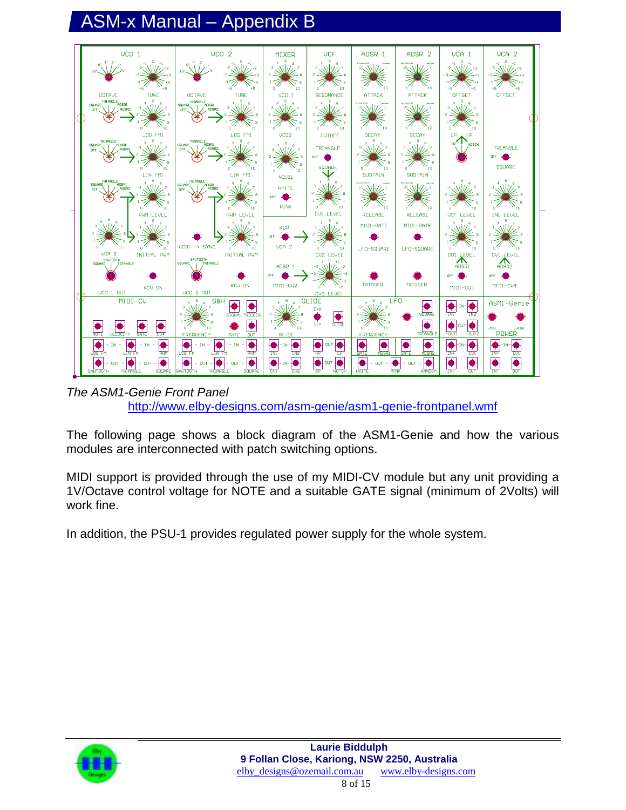

*The ASM1-Genie Front Panel* http://www.elby-designs.com/asm-genie/asm1-genie-frontpanel.wmf

The following page shows a block diagram of the ASM1-Genie and how the various modules are interconnected with patch switching options.

MIDI support is provided through the use of my MIDI-CV module but any unit providing a 1V/Octave control voltage for NOTE and a suitable GATE signal (minimum of 2Volts) will work fine.

In addition, the PSU-1 provides regulated power supply for the whole system.

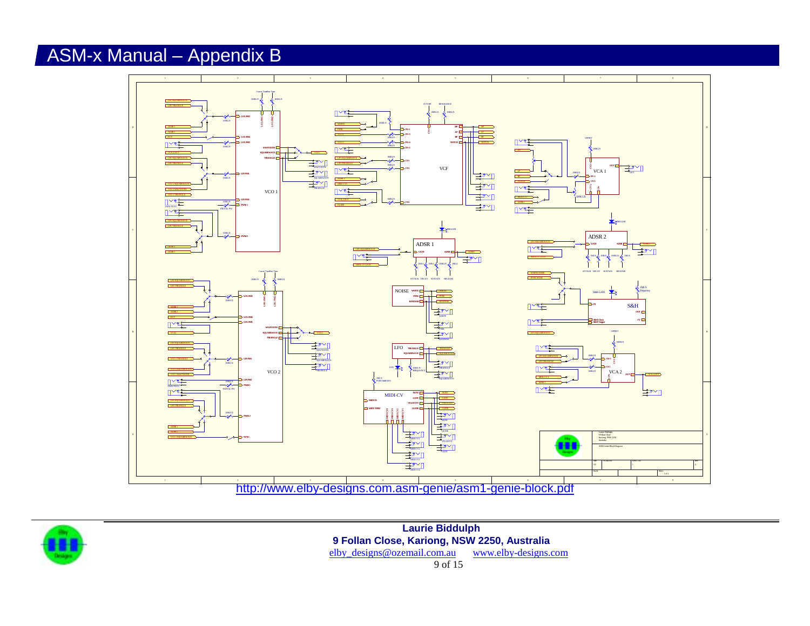



**Laurie Biddulph 9 Follan Close, Kariong, NSW 2250, Australia** elby\_designs@ozemail.com.au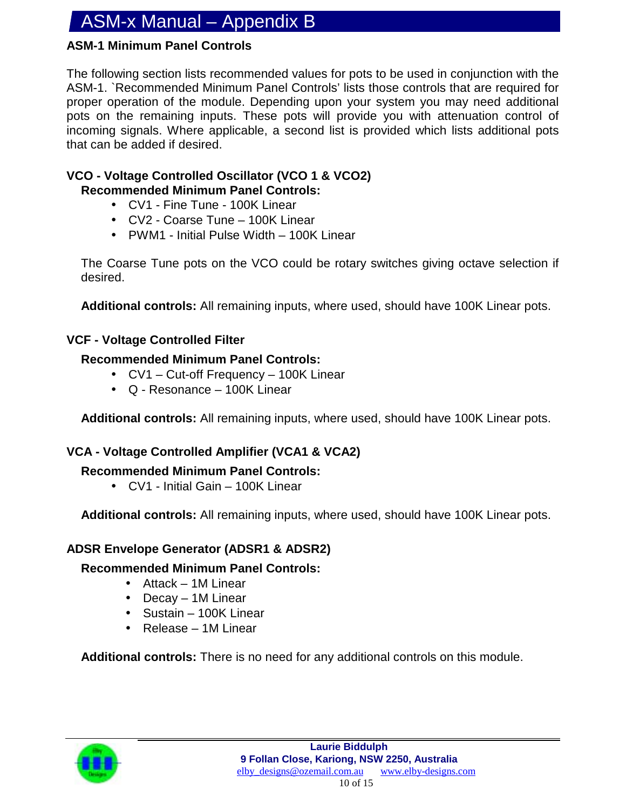#### **ASM-1 Minimum Panel Controls**

The following section lists recommended values for pots to be used in conjunction with the ASM-1. `Recommended Minimum Panel Controls' lists those controls that are required for proper operation of the module. Depending upon your system you may need additional pots on the remaining inputs. These pots will provide you with attenuation control of incoming signals. Where applicable, a second list is provided which lists additional pots that can be added if desired.

#### **VCO - Voltage Controlled Oscillator (VCO 1 & VCO2) Recommended Minimum Panel Controls:**

- CV1 Fine Tune 100K Linear
- CV2 Coarse Tune 100K Linear
- PWM1 Initial Pulse Width 100K Linear

The Coarse Tune pots on the VCO could be rotary switches giving octave selection if desired.

**Additional controls:** All remaining inputs, where used, should have 100K Linear pots.

#### **VCF - Voltage Controlled Filter**

#### **Recommended Minimum Panel Controls:**

- CV1 Cut-off Frequency 100K Linear
- Q Resonance 100K Linear

**Additional controls:** All remaining inputs, where used, should have 100K Linear pots.

#### **VCA - Voltage Controlled Amplifier (VCA1 & VCA2)**

#### **Recommended Minimum Panel Controls:**

• CV1 - Initial Gain – 100K Linear

**Additional controls:** All remaining inputs, where used, should have 100K Linear pots.

#### **ADSR Envelope Generator (ADSR1 & ADSR2)**

#### **Recommended Minimum Panel Controls:**

- Attack 1M Linear
- Decay 1M Linear
- Sustain 100K Linear
- Release 1M Linear

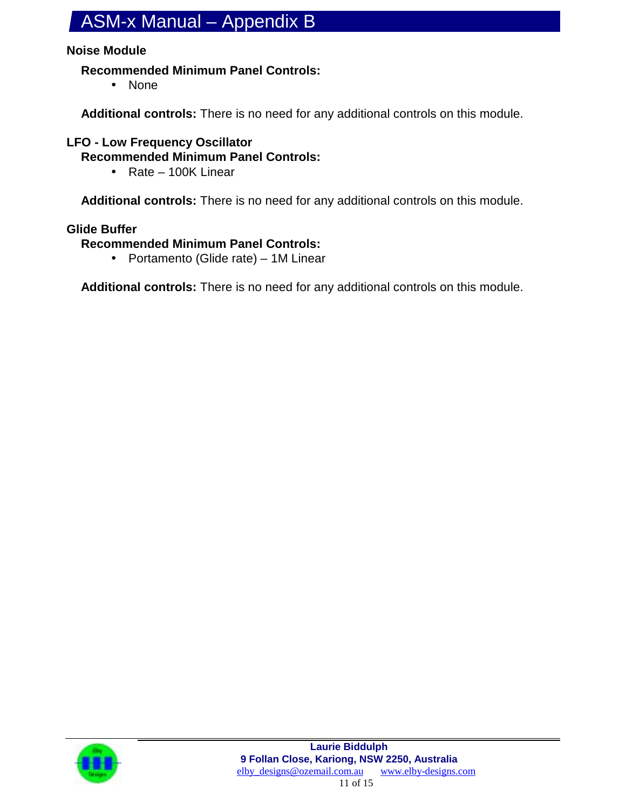#### **Noise Module**

#### **Recommended Minimum Panel Controls:**

• None

**Additional controls:** There is no need for any additional controls on this module.

#### **LFO - Low Frequency Oscillator**

**Recommended Minimum Panel Controls:**

• Rate – 100K Linear

**Additional controls:** There is no need for any additional controls on this module.

#### **Glide Buffer**

**Recommended Minimum Panel Controls:**

• Portamento (Glide rate) – 1M Linear

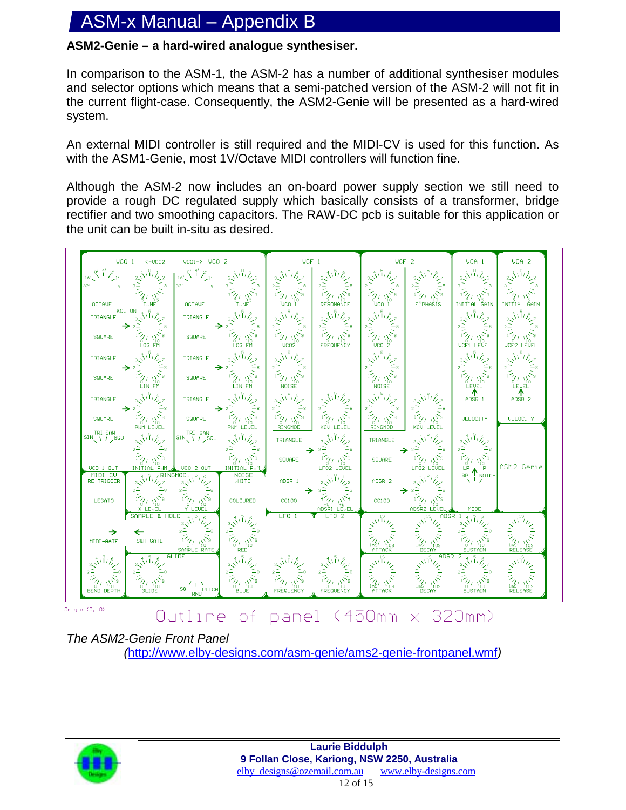#### **ASM2-Genie – a hard-wired analogue synthesiser.**

In comparison to the ASM-1, the ASM-2 has a number of additional synthesiser modules and selector options which means that a semi-patched version of the ASM-2 will not fit in the current flight-case. Consequently, the ASM2-Genie will be presented as a hard-wired system.

An external MIDI controller is still required and the MIDI-CV is used for this function. As with the ASM1-Genie, most 1V/Octave MIDI controllers will function fine.

Although the ASM-2 now includes an on-board power supply section we still need to provide a rough DC regulated supply which basically consists of a transformer, bridge rectifier and two smoothing capacitors. The RAW-DC pcb is suitable for this application or the unit can be built in-situ as desired.



*The ASM2-Genie Front Panel (*http://www.elby-designs.com/asm-genie/ams2-genie-frontpanel.wmf*)*

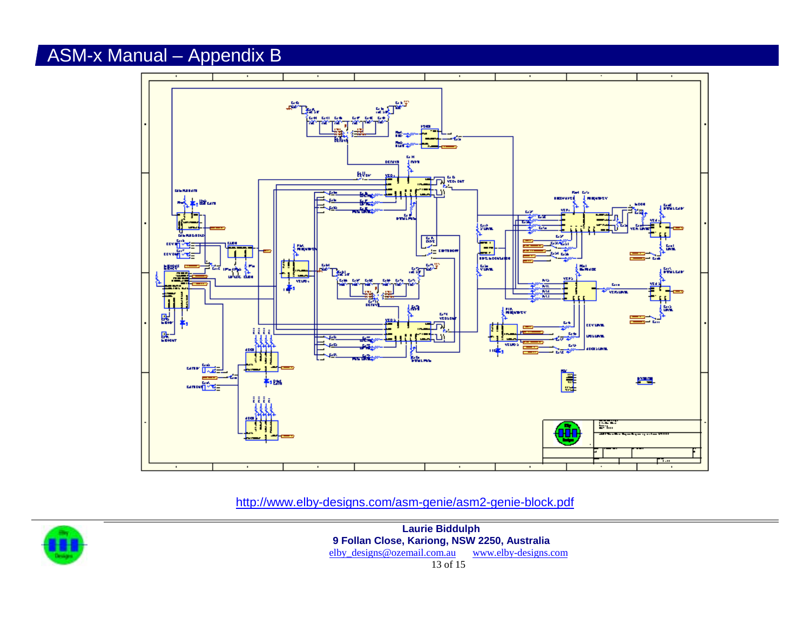

http://www.elby-designs.com/asm-genie/asm2-genie-block.pdf



**Laurie Biddulph 9 Follan Close, Kariong, NSW 2250, Australia** elby\_designs@ozemail.com.au www.elby-designs.com 13 of 15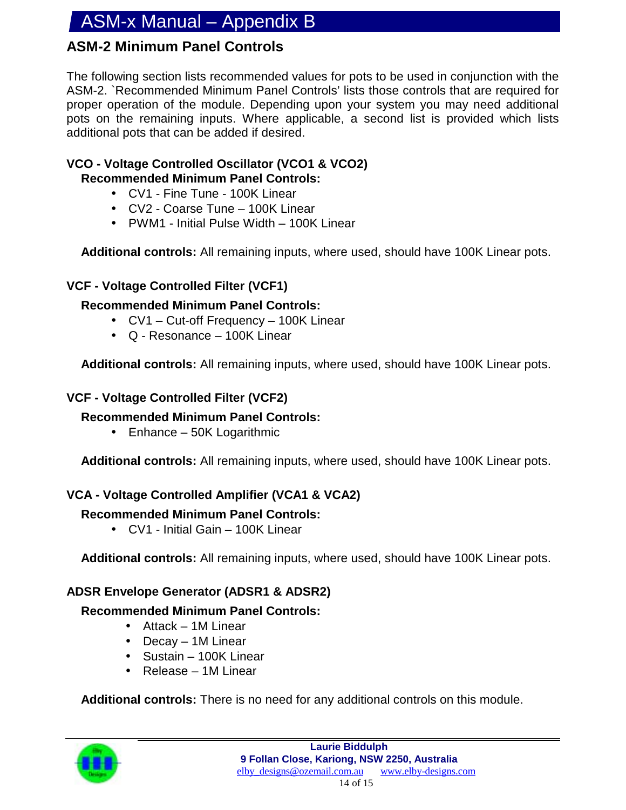#### **ASM-2 Minimum Panel Controls**

The following section lists recommended values for pots to be used in conjunction with the ASM-2. `Recommended Minimum Panel Controls' lists those controls that are required for proper operation of the module. Depending upon your system you may need additional pots on the remaining inputs. Where applicable, a second list is provided which lists additional pots that can be added if desired.

#### **VCO - Voltage Controlled Oscillator (VCO1 & VCO2) Recommended Minimum Panel Controls:**

- CV1 Fine Tune 100K Linear
- CV2 Coarse Tune 100K Linear
- PWM1 Initial Pulse Width 100K Linear

**Additional controls:** All remaining inputs, where used, should have 100K Linear pots.

#### **VCF - Voltage Controlled Filter (VCF1)**

#### **Recommended Minimum Panel Controls:**

- CV1 Cut-off Frequency 100K Linear
- Q Resonance 100K Linear

**Additional controls:** All remaining inputs, where used, should have 100K Linear pots.

#### **VCF - Voltage Controlled Filter (VCF2)**

#### **Recommended Minimum Panel Controls:**

• Enhance – 50K Logarithmic

**Additional controls:** All remaining inputs, where used, should have 100K Linear pots.

#### **VCA - Voltage Controlled Amplifier (VCA1 & VCA2)**

#### **Recommended Minimum Panel Controls:**

• CV1 - Initial Gain – 100K Linear

**Additional controls:** All remaining inputs, where used, should have 100K Linear pots.

#### **ADSR Envelope Generator (ADSR1 & ADSR2)**

#### **Recommended Minimum Panel Controls:**

- Attack 1M Linear
- Decay 1M Linear
- Sustain 100K Linear
- Release 1M Linear